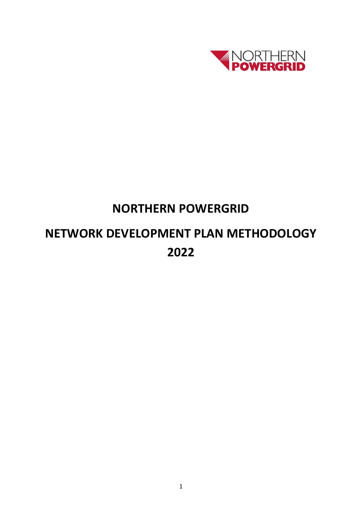

## **NORTHERN POWERGRID**

# **NETWORK DEVELOPMENT PLAN METHODOLOGY 2022**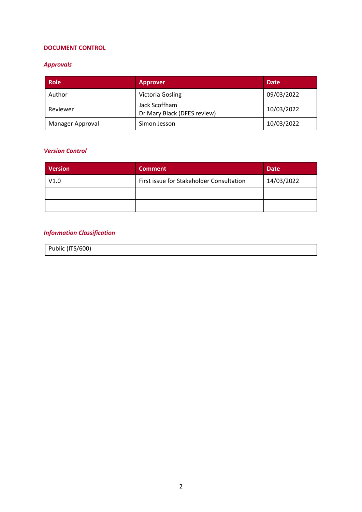## **DOCUMENT CONTROL**

## *Approvals*

| <b>Role</b>      | <b>Approver</b>                              | <b>Date</b> |
|------------------|----------------------------------------------|-------------|
| Author           | <b>Victoria Gosling</b>                      | 09/03/2022  |
| Reviewer         | Jack Scoffham<br>Dr Mary Black (DFES review) | 10/03/2022  |
| Manager Approval | Simon Jesson                                 | 10/03/2022  |

#### *Version Control*

| <b>Version</b> | <b>Comment</b>                           | <b>Date</b> |
|----------------|------------------------------------------|-------------|
| V1.0           | First issue for Stakeholder Consultation | 14/03/2022  |
|                |                                          |             |
|                |                                          |             |

## *Information Classification*

| Public (ITS/600) |
|------------------|
|------------------|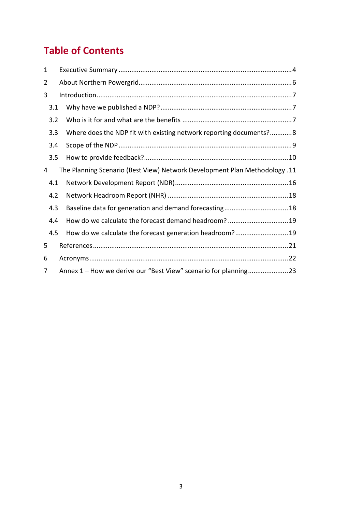## **Table of Contents**

| 1   |                                                                             |  |  |  |
|-----|-----------------------------------------------------------------------------|--|--|--|
| 2   |                                                                             |  |  |  |
| 3   |                                                                             |  |  |  |
| 3.1 |                                                                             |  |  |  |
| 3.2 |                                                                             |  |  |  |
| 3.3 | Where does the NDP fit with existing network reporting documents?8          |  |  |  |
| 3.4 |                                                                             |  |  |  |
| 3.5 |                                                                             |  |  |  |
| 4   | The Planning Scenario (Best View) Network Development Plan Methodology . 11 |  |  |  |
| 4.1 |                                                                             |  |  |  |
| 4.2 |                                                                             |  |  |  |
| 4.3 | Baseline data for generation and demand forecasting 18                      |  |  |  |
| 4.4 | How do we calculate the forecast demand headroom? 19                        |  |  |  |
| 4.5 | How do we calculate the forecast generation headroom?19                     |  |  |  |
| 5   |                                                                             |  |  |  |
| 6   |                                                                             |  |  |  |
| 7   |                                                                             |  |  |  |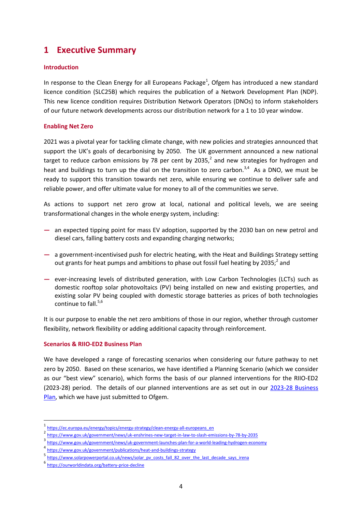## **1 Executive Summary**

#### **Introduction**

In response to the Clean Energy for all Europeans Package<sup>1</sup>, Ofgem has introduced a new standard licence condition (SLC25B) which requires the publication of a Network Development Plan (NDP). This new licence condition requires Distribution Network Operators (DNOs) to inform stakeholders of our future network developments across our distribution network for a 1 to 10 year window.

#### **Enabling Net Zero**

2021 was a pivotal year for tackling climate change, with new policies and strategies announced that support the UK's goals of decarbonising by 2050. The UK government announced a new national target to reduce carbon emissions by 78 per cent by 2035, $^2$  and new strategies for hydrogen and heat and buildings to turn up the dial on the transition to zero carbon.<sup>3,4</sup> As a DNO, we must be ready to support this transition towards net zero, while ensuring we continue to deliver safe and reliable power, and offer ultimate value for money to all of the communities we serve.

As actions to support net zero grow at local, national and political levels, we are seeing transformational changes in the whole energy system, including:

- **—** an expected tipping point for mass EV adoption, supported by the 2030 ban on new petrol and diesel cars, falling battery costs and expanding charging networks;
- **—** a government-incentivised push for electric heating, with the Heat and Buildings Strategy setting out grants for heat pumps and ambitions to phase out fossil fuel heating by 2035;<sup>2</sup> and
- **—** ever-increasing levels of distributed generation, with Low Carbon Technologies (LCTs) such as domestic rooftop solar photovoltaics (PV) being installed on new and existing properties, and existing solar PV being coupled with domestic storage batteries as prices of both technologies continue to fall. $5,6$

It is our purpose to enable the net zero ambitions of those in our region, whether through customer flexibility, network flexibility or adding additional capacity through reinforcement.

#### **Scenarios & RIIO-ED2 Business Plan**

We have developed a range of forecasting scenarios when considering our future pathway to net zero by 2050. Based on these scenarios, we have identified a Planning Scenario (which we consider as our "best view" scenario), which forms the basis of our planned interventions for the RIIO-ED2 (2023-28) period. The details of our planned interventions are as set out in our [2023-28 Business](https://ed2plan.northernpowergrid.com/sites/default/files/document-library/NPg_Our_business_plan_for_2023_28.pdf)  [Plan,](https://ed2plan.northernpowergrid.com/sites/default/files/document-library/NPg_Our_business_plan_for_2023_28.pdf) which we have just submitted to Ofgem.

**.** 

<sup>1</sup> [https://ec.europa.eu/energy/topics/energy-strategy/clean-energy-all-europeans\\_en](https://ec.europa.eu/energy/topics/energy-strategy/clean-energy-all-europeans_en)

<sup>2</sup> <https://www.gov.uk/government/news/uk-enshrines-new-target-in-law-to-slash-emissions-by-78-by-2035>

<sup>3</sup> <https://www.gov.uk/government/news/uk-government-launches-plan-for-a-world-leading-hydrogen-economy>

<sup>4</sup> <https://www.gov.uk/government/publications/heat-and-buildings-strategy>

<sup>5</sup> [https://www.solarpowerportal.co.uk/news/solar\\_pv\\_costs\\_fall\\_82\\_over\\_the\\_last\\_decade\\_says\\_irena](https://www.solarpowerportal.co.uk/news/solar_pv_costs_fall_82_over_the_last_decade_says_irena)

<sup>6</sup> <https://ourworldindata.org/battery-price-decline>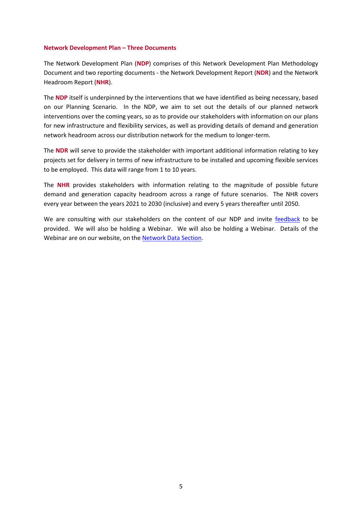#### **Network Development Plan – Three Documents**

The Network Development Plan (**NDP**) comprises of this Network Development Plan Methodology Document and two reporting documents - the Network Development Report (**NDR**) and the Network Headroom Report (**NHR**).

The **NDP** itself is underpinned by the interventions that we have identified as being necessary, based on our Planning Scenario. In the NDP, we aim to set out the details of our planned network interventions over the coming years, so as to provide our stakeholders with information on our plans for new infrastructure and flexibility services, as well as providing details of demand and generation network headroom across our distribution network for the medium to longer-term.

The **NDR** will serve to provide the stakeholder with important additional information relating to key projects set for delivery in terms of new infrastructure to be installed and upcoming flexible services to be employed. This data will range from 1 to 10 years.

The **NHR** provides stakeholders with information relating to the magnitude of possible future demand and generation capacity headroom across a range of future scenarios. The NHR covers every year between the years 2021 to 2030 (inclusive) and every 5 years thereafter until 2050.

We are consulting with our stakeholders on the content of our NDP and invite [feedback](http://www.survey.alchemer.eu/s3/90436905/NPg-NDP-consultation) to be provided. We will also be holding a Webinar. We will also be holding a Webinar. Details of the Webinar are on our website, on the [Network Data Section.](https://www.northernpowergrid.com/network-data)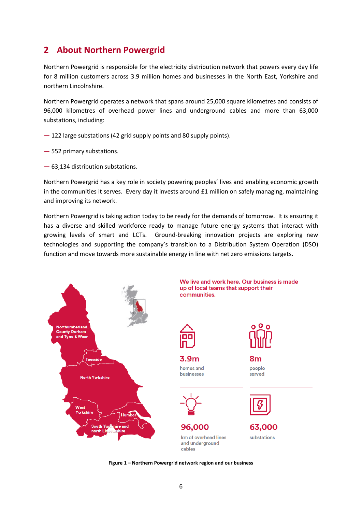## **2 About Northern Powergrid**

Northern Powergrid is responsible for the electricity distribution network that powers every day life for 8 million customers across 3.9 million homes and businesses in the North East, Yorkshire and northern Lincolnshire.

Northern Powergrid operates a network that spans around 25,000 square kilometres and consists of 96,000 kilometres of overhead power lines and underground cables and more than 63,000 substations, including:

- **—** 122 large substations (42 grid supply points and 80 supply points).
- **—** 552 primary substations.
- **—** 63,134 distribution substations.

Northern Powergrid has a key role in society powering peoples' lives and enabling economic growth in the communities it serves. Every day it invests around  $E1$  million on safely managing, maintaining and improving its network.

Northern Powergrid is taking action today to be ready for the demands of tomorrow. It is ensuring it has a diverse and skilled workforce ready to manage future energy systems that interact with growing levels of smart and LCTs. Ground-breaking innovation projects are exploring new technologies and supporting the company's transition to a Distribution System Operation (DSO) function and move towards more sustainable energy in line with net zero emissions targets.



**Figure 1 – Northern Powergrid network region and our business**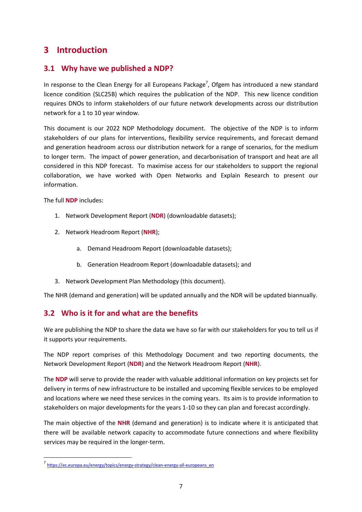## **3 Introduction**

## **3.1 Why have we published a NDP?**

In response to the Clean Energy for all Europeans Package<sup>7</sup>, Ofgem has introduced a new standard licence condition (SLC25B) which requires the publication of the NDP. This new licence condition requires DNOs to inform stakeholders of our future network developments across our distribution network for a 1 to 10 year window.

This document is our 2022 NDP Methodology document. The objective of the NDP is to inform stakeholders of our plans for interventions, flexibility service requirements, and forecast demand and generation headroom across our distribution network for a range of scenarios, for the medium to longer term. The impact of power generation, and decarbonisation of transport and heat are all considered in this NDP forecast. To maximise access for our stakeholders to support the regional collaboration, we have worked with Open Networks and Explain Research to present our information.

The full **NDP** includes:

**.** 

- 1. Network Development Report (**NDR**) (downloadable datasets);
- 2. Network Headroom Report (**NHR**);
	- a. Demand Headroom Report (downloadable datasets);
	- b. Generation Headroom Report (downloadable datasets); and
- 3. Network Development Plan Methodology (this document).

The NHR (demand and generation) will be updated annually and the NDR will be updated biannually.

## **3.2 Who is it for and what are the benefits**

We are publishing the NDP to share the data we have so far with our stakeholders for you to tell us if it supports your requirements.

The NDP report comprises of this Methodology Document and two reporting documents, the Network Development Report (**NDR**) and the Network Headroom Report (**NHR**).

The **NDP** will serve to provide the reader with valuable additional information on key projects set for delivery in terms of new infrastructure to be installed and upcoming flexible services to be employed and locations where we need these services in the coming years. Its aim is to provide information to stakeholders on major developments for the years 1-10 so they can plan and forecast accordingly.

The main objective of the **NHR** (demand and generation) is to indicate where it is anticipated that there will be available network capacity to accommodate future connections and where flexibility services may be required in the longer-term.

<sup>7&</sup>lt;br>[https://ec.europa.eu/energy/topics/energy-strategy/clean-energy-all-europeans\\_en](https://ec.europa.eu/energy/topics/energy-strategy/clean-energy-all-europeans_en)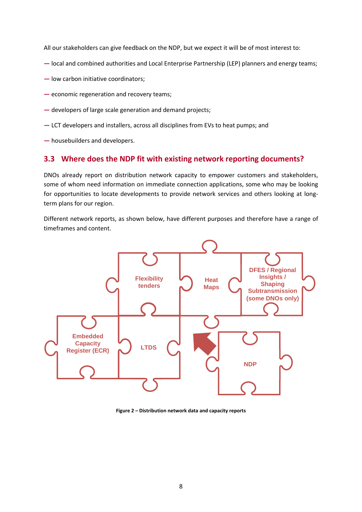All our stakeholders can give feedback on the NDP, but we expect it will be of most interest to:

- **—** local and combined authorities and Local Enterprise Partnership (LEP) planners and energy teams;
- **—** low carbon initiative coordinators;
- **—** economic regeneration and recovery teams;
- **—** developers of large scale generation and demand projects;
- **—** LCT developers and installers, across all disciplines from EVs to heat pumps; and
- **—** housebuilders and developers.

### **3.3 Where does the NDP fit with existing network reporting documents?**

DNOs already report on distribution network capacity to empower customers and stakeholders, some of whom need information on immediate connection applications, some who may be looking for opportunities to locate developments to provide network services and others looking at longterm plans for our region.

Different network reports, as shown below, have different purposes and therefore have a range of timeframes and content.



**Figure 2 – Distribution network data and capacity reports**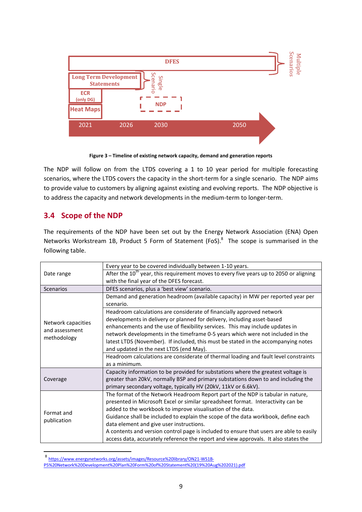|                                                   |      | <b>DFES</b>        |      | Scenarios<br>Multiple |
|---------------------------------------------------|------|--------------------|------|-----------------------|
| <b>Long Term Development</b><br><b>Statements</b> |      | Scenario<br>Single |      |                       |
| <b>ECR</b><br>(only DG)                           |      | <b>NDP</b>         |      |                       |
| <b>Heat Maps</b>                                  |      |                    |      |                       |
| 2021                                              | 2026 | 2030               | 2050 |                       |
|                                                   |      |                    |      |                       |

**Figure 3 – Timeline of existing network capacity, demand and generation reports**

The NDP will follow on from the LTDS covering a 1 to 10 year period for multiple forecasting scenarios, where the LTDS covers the capacity in the short-term for a single scenario. The NDP aims to provide value to customers by aligning against existing and evolving reports. The NDP objective is to address the capacity and network developments in the medium-term to longer-term.

## **3.4 Scope of the NDP**

**.** 

The requirements of the NDP have been set out by the Energy Network Association (ENA) Open Networks Workstream 1B, Product 5 Form of Statement (FoS).<sup>8</sup> The scope is summarised in the following table.

| Date range                           | Every year to be covered individually between 1-10 years.                                   |
|--------------------------------------|---------------------------------------------------------------------------------------------|
|                                      | After the $10^{th}$ year, this requirement moves to every five years up to 2050 or aligning |
|                                      | with the final year of the DFES forecast.                                                   |
| <b>Scenarios</b>                     | DFES scenarios, plus a 'best view' scenario.                                                |
|                                      | Demand and generation headroom (available capacity) in MW per reported year per             |
|                                      | scenario.                                                                                   |
|                                      | Headroom calculations are considerate of financially approved network                       |
|                                      | developments in delivery or planned for delivery, including asset-based                     |
| Network capacities<br>and assessment | enhancements and the use of flexibility services. This may include updates in               |
|                                      | network developments in the timeframe 0-5 years which were not included in the              |
| methodology                          | latest LTDS (November). If included, this must be stated in the accompanying notes          |
|                                      | and updated in the next LTDS (end May).                                                     |
|                                      | Headroom calculations are considerate of thermal loading and fault level constraints        |
|                                      | as a minimum.                                                                               |
|                                      | Capacity information to be provided for substations where the greatest voltage is           |
| Coverage                             | greater than 20kV, normally BSP and primary substations down to and including the           |
|                                      | primary secondary voltage, typically HV (20kV, 11kV or 6.6kV).                              |
|                                      | The format of the Network Headroom Report part of the NDP is tabular in nature,             |
|                                      | presented in Microsoft Excel or similar spreadsheet format. Interactivity can be            |
| Format and<br>publication            | added to the workbook to improve visualisation of the data.                                 |
|                                      | Guidance shall be included to explain the scope of the data workbook, define each           |
|                                      | data element and give user instructions.                                                    |
|                                      | A contents and version control page is included to ensure that users are able to easily     |
|                                      | access data, accurately reference the report and view approvals. It also states the         |

<sup>8</sup> [https://www.energynetworks.org/assets/images/Resource%20library/ON21-WS1B-](https://www.energynetworks.org/assets/images/Resource%20library/ON21-WS1B-P5%20Network%20Development%20Plan%20Form%20of%20Statement%20(19%20Aug%202021).pdf)

[P5%20Network%20Development%20Plan%20Form%20of%20Statement%20\(19%20Aug%202021\).pdf](https://www.energynetworks.org/assets/images/Resource%20library/ON21-WS1B-P5%20Network%20Development%20Plan%20Form%20of%20Statement%20(19%20Aug%202021).pdf)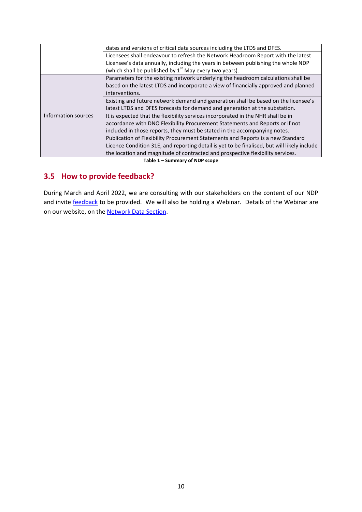|                     | dates and versions of critical data sources including the LTDS and DFES.                    |
|---------------------|---------------------------------------------------------------------------------------------|
|                     | Licensees shall endeavour to refresh the Network Headroom Report with the latest            |
|                     | Licensee's data annually, including the years in between publishing the whole NDP           |
|                     | (which shall be published by $1st$ May every two years).                                    |
|                     | Parameters for the existing network underlying the headroom calculations shall be           |
|                     | based on the latest LTDS and incorporate a view of financially approved and planned         |
|                     | interventions.                                                                              |
|                     | Existing and future network demand and generation shall be based on the licensee's          |
|                     | latest LTDS and DFES forecasts for demand and generation at the substation.                 |
| Information sources | It is expected that the flexibility services incorporated in the NHR shall be in            |
|                     | accordance with DNO Flexibility Procurement Statements and Reports or if not                |
|                     | included in those reports, they must be stated in the accompanying notes.                   |
|                     | Publication of Flexibility Procurement Statements and Reports is a new Standard             |
|                     | Licence Condition 31E, and reporting detail is yet to be finalised, but will likely include |
|                     | the location and magnitude of contracted and prospective flexibility services.              |
|                     | Tallant Commonwealth Development                                                            |

#### **Table 1 – Summary of NDP scope**

## **3.5 How to provide feedback?**

During March and April 2022, we are consulting with our stakeholders on the content of our NDP and invite **feedback** to be provided. We will also be holding a Webinar. Details of the Webinar are on our website, on the [Network Data Section.](https://www.northernpowergrid.com/network-data)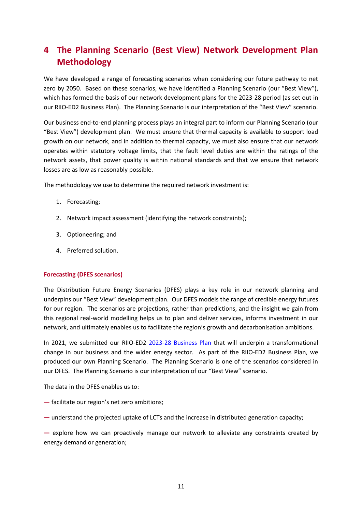## **4 The Planning Scenario (Best View) Network Development Plan Methodology**

We have developed a range of forecasting scenarios when considering our future pathway to net zero by 2050. Based on these scenarios, we have identified a Planning Scenario (our "Best View"), which has formed the basis of our network development plans for the 2023-28 period (as set out in our RIIO-ED2 Business Plan). The Planning Scenario is our interpretation of the "Best View" scenario.

Our business end-to-end planning process plays an integral part to inform our Planning Scenario (our "Best View") development plan. We must ensure that thermal capacity is available to support load growth on our network, and in addition to thermal capacity, we must also ensure that our network operates within statutory voltage limits, that the fault level duties are within the ratings of the network assets, that power quality is within national standards and that we ensure that network losses are as low as reasonably possible.

The methodology we use to determine the required network investment is:

- 1. Forecasting;
- 2. Network impact assessment (identifying the network constraints);
- 3. Optioneering; and
- 4. Preferred solution.

#### **Forecasting (DFES scenarios)**

The Distribution Future Energy Scenarios (DFES) plays a key role in our network planning and underpins our "Best View" development plan. Our DFES models the range of credible energy futures for our region. The scenarios are projections, rather than predictions, and the insight we gain from this regional real-world modelling helps us to plan and deliver services, informs investment in our network, and ultimately enables us to facilitate the region's growth and decarbonisation ambitions.

In 2021, we submitted our RIIO-ED2 [2023-28 Business Plan](https://ed2plan.northernpowergrid.com/sites/default/files/document-library/NPg_Our_business_plan_for_2023_28.pdf) that will underpin a transformational change in our business and the wider energy sector. As part of the RIIO-ED2 Business Plan, we produced our own Planning Scenario. The Planning Scenario is one of the scenarios considered in our DFES. The Planning Scenario is our interpretation of our "Best View" scenario.

The data in the DFES enables us to:

- **—** facilitate our region's net zero ambitions;
- **—** understand the projected uptake of LCTs and the increase in distributed generation capacity;

**—** explore how we can proactively manage our network to alleviate any constraints created by energy demand or generation;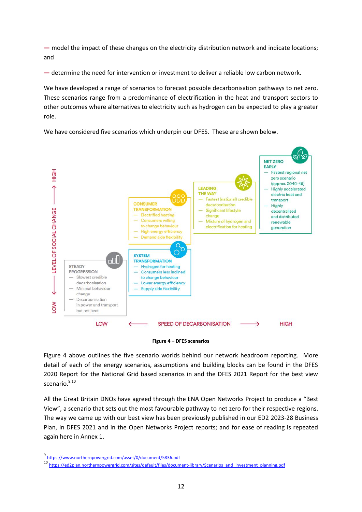**—** model the impact of these changes on the electricity distribution network and indicate locations; and

**—** determine the need for intervention or investment to deliver a reliable low carbon network.

We have developed a range of scenarios to forecast possible decarbonisation pathways to net zero. These scenarios range from a predominance of electrification in the heat and transport sectors to other outcomes where alternatives to electricity such as hydrogen can be expected to play a greater role.

We have considered five scenarios which underpin our DFES. These are shown below.



#### **Figure 4 – DFES scenarios**

<span id="page-11-0"></span>[Figure 4](#page-11-0) above outlines the five scenario worlds behind our network headroom reporting. More detail of each of the energy scenarios, assumptions and building blocks can be found in the DFES 2020 Report for the National Grid based scenarios in and the DFES 2021 Report for the best view scenario.<sup>9,10</sup>

All the Great Britain DNOs have agreed through the ENA Open Networks Project to produce a "Best View", a scenario that sets out the most favourable pathway to net zero for their respective regions. The way we came up with our best view has been previously published in our ED2 [2023-28 Business](https://ed2plan.northernpowergrid.com/sites/default/files/document-library/NPg_Our_business_plan_for_2023_28.pdf)  [Plan,](https://ed2plan.northernpowergrid.com/sites/default/files/document-library/NPg_Our_business_plan_for_2023_28.pdf) in DFES 2021 and in the Open Networks Project reports; and for ease of reading is repeated again here in Annex 1.

\_<br><sup>9</sup> <https://www.northernpowergrid.com/asset/0/document/5836.pdf>

<sup>10&</sup>lt;br>[https://ed2plan.northernpowergrid.com/sites/default/files/document-library/Scenarios\\_and\\_investment\\_planning.pdf](https://ed2plan.northernpowergrid.com/sites/default/files/document-library/Scenarios_and_investment_planning.pdf)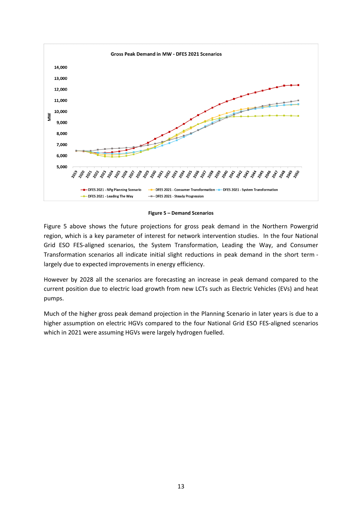

**Figure 5 – Demand Scenarios**

<span id="page-12-0"></span>[Figure 5](#page-12-0) above shows the future projections for gross peak demand in the Northern Powergrid region, which is a key parameter of interest for network intervention studies. In the four National Grid ESO FES-aligned scenarios, the System Transformation, Leading the Way, and Consumer Transformation scenarios all indicate initial slight reductions in peak demand in the short term largely due to expected improvements in energy efficiency.

However by 2028 all the scenarios are forecasting an increase in peak demand compared to the current position due to electric load growth from new LCTs such as Electric Vehicles (EVs) and heat pumps.

Much of the higher gross peak demand projection in the Planning Scenario in later years is due to a higher assumption on electric HGVs compared to the four National Grid ESO FES-aligned scenarios which in 2021 were assuming HGVs were largely hydrogen fuelled.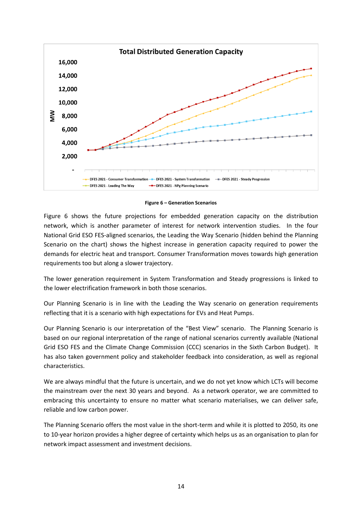

**Figure 6 – Generation Scenarios**

<span id="page-13-0"></span>[Figure 6](#page-13-0) shows the future projections for embedded generation capacity on the distribution network, which is another parameter of interest for network intervention studies. In the four National Grid ESO FES-aligned scenarios, the Leading the Way Scenario (hidden behind the Planning Scenario on the chart) shows the highest increase in generation capacity required to power the demands for electric heat and transport. Consumer Transformation moves towards high generation requirements too but along a slower trajectory.

The lower generation requirement in System Transformation and Steady progressions is linked to the lower electrification framework in both those scenarios.

Our Planning Scenario is in line with the Leading the Way scenario on generation requirements reflecting that it is a scenario with high expectations for EVs and Heat Pumps.

Our Planning Scenario is our interpretation of the "Best View" scenario. The Planning Scenario is based on our regional interpretation of the range of national scenarios currently available (National Grid ESO FES and the Climate Change Commission (CCC) scenarios in the Sixth Carbon Budget). It has also taken government policy and stakeholder feedback into consideration, as well as regional characteristics.

We are always mindful that the future is uncertain, and we do not yet know which LCTs will become the mainstream over the next 30 years and beyond. As a network operator, we are committed to embracing this uncertainty to ensure no matter what scenario materialises, we can deliver safe, reliable and low carbon power.

The Planning Scenario offers the most value in the short-term and while it is plotted to 2050, its one to 10-year horizon provides a higher degree of certainty which helps us as an organisation to plan for network impact assessment and investment decisions.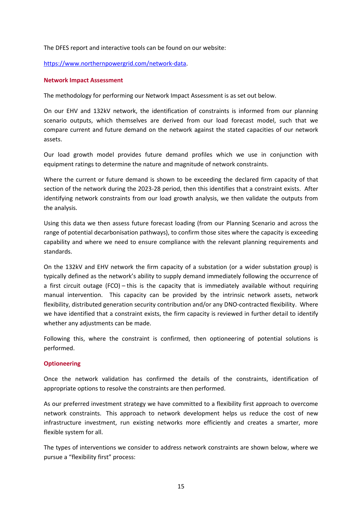The DFES report and interactive tools can be found on our website:

[https://www.northernpowergrid.com/network-data.](https://www.northernpowergrid.com/network-data)

#### **Network Impact Assessment**

The methodology for performing our Network Impact Assessment is as set out below.

On our EHV and 132kV network, the identification of constraints is informed from our planning scenario outputs, which themselves are derived from our load forecast model, such that we compare current and future demand on the network against the stated capacities of our network assets.

Our load growth model provides future demand profiles which we use in conjunction with equipment ratings to determine the nature and magnitude of network constraints.

Where the current or future demand is shown to be exceeding the declared firm capacity of that section of the network during the 2023-28 period, then this identifies that a constraint exists. After identifying network constraints from our load growth analysis, we then validate the outputs from the analysis.

Using this data we then assess future forecast loading (from our Planning Scenario and across the range of potential decarbonisation pathways), to confirm those sites where the capacity is exceeding capability and where we need to ensure compliance with the relevant planning requirements and standards.

On the 132kV and EHV network the firm capacity of a substation (or a wider substation group) is typically defined as the network's ability to supply demand immediately following the occurrence of a first circuit outage (FCO) – this is the capacity that is immediately available without requiring manual intervention. This capacity can be provided by the intrinsic network assets, network flexibility, distributed generation security contribution and/or any DNO-contracted flexibility. Where we have identified that a constraint exists, the firm capacity is reviewed in further detail to identify whether any adjustments can be made.

Following this, where the constraint is confirmed, then optioneering of potential solutions is performed.

#### **Optioneering**

Once the network validation has confirmed the details of the constraints, identification of appropriate options to resolve the constraints are then performed.

As our preferred investment strategy we have committed to a flexibility first approach to overcome network constraints. This approach to network development helps us reduce the cost of new infrastructure investment, run existing networks more efficiently and creates a smarter, more flexible system for all.

The types of interventions we consider to address network constraints are shown below, where we pursue a "flexibility first" process: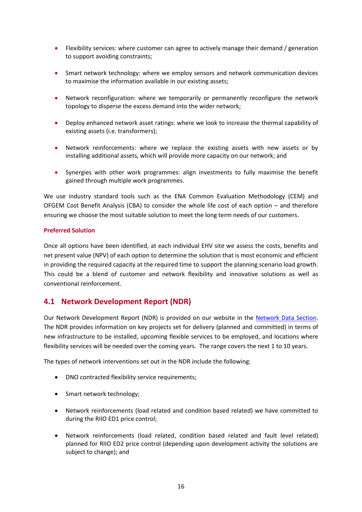- Flexibility services: where customer can agree to actively manage their demand / generation to support avoiding constraints;
- Smart network technology: where we employ sensors and network communication devices to maximise the information available in our existing assets;
- Network reconfiguration: where we temporarily or permanently reconfigure the network topology to disperse the excess demand into the wider network;
- Deploy enhanced network asset ratings: where we look to increase the thermal capability of existing assets (i.e. transformers);
- Network reinforcements: where we replace the existing assets with new assets or by installing additional assets, which will provide more capacity on our network; and
- Synergies with other work programmes: align investments to fully maximise the benefit gained through multiple work programmes.

We use industry standard tools such as the ENA Common Evaluation Methodology (CEM) and OFGEM Cost Benefit Analysis (CBA) to consider the whole life cost of each option – and therefore ensuring we choose the most suitable solution to meet the long term needs of our customers.

#### **Preferred Solution**

Once all options have been identified, at each individual EHV site we assess the costs, benefits and net present value (NPV) of each option to determine the solution that is most economic and efficient in providing the required capacity at the required time to support the planning scenario load growth. This could be a blend of customer and network flexibility and innovative solutions as well as conventional reinforcement.

## **4.1 Network Development Report (NDR)**

Our Network Development Report (NDR) is provided on our website in the [Network Data Section.](https://www.northernpowergrid.com/network-data) The NDR provides information on key projects set for delivery (planned and committed) in terms of new infrastructure to be installed, upcoming flexible services to be employed, and locations where flexibility services will be needed over the coming years. The range covers the next 1 to 10 years.

The types of network interventions set out in the NDR include the following:

- DNO contracted flexibility service requirements;
- Smart network technology;
- Network reinforcements (load related and condition based related) we have committed to during the RIIO ED1 price control;
- Network reinforcements (load related, condition based related and fault level related) planned for RIIO ED2 price control (depending upon development activity the solutions are subject to change); and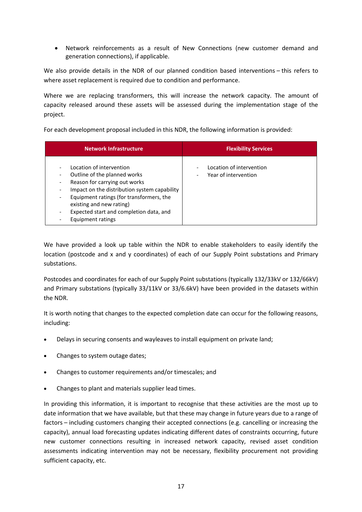Network reinforcements as a result of New Connections (new customer demand and generation connections), if applicable.

We also provide details in the NDR of our planned condition based interventions – this refers to where asset replacement is required due to condition and performance.

Where we are replacing transformers, this will increase the network capacity. The amount of capacity released around these assets will be assessed during the implementation stage of the project.

For each development proposal included in this NDR, the following information is provided:

| <b>Network Infrastructure</b>                                                                                                                                                                                                                                                     | <b>Flexibility Services</b>                      |
|-----------------------------------------------------------------------------------------------------------------------------------------------------------------------------------------------------------------------------------------------------------------------------------|--------------------------------------------------|
| Location of intervention<br>Outline of the planned works<br>Reason for carrying out works<br>Impact on the distribution system capability<br>Equipment ratings (for transformers, the<br>existing and new rating)<br>Expected start and completion data, and<br>Equipment ratings | Location of intervention<br>Year of intervention |

We have provided a look up table within the NDR to enable stakeholders to easily identify the location (postcode and x and y coordinates) of each of our Supply Point substations and Primary substations.

Postcodes and coordinates for each of our Supply Point substations (typically 132/33kV or 132/66kV) and Primary substations (typically 33/11kV or 33/6.6kV) have been provided in the datasets within the NDR.

It is worth noting that changes to the expected completion date can occur for the following reasons, including:

- Delays in securing consents and wayleaves to install equipment on private land;
- Changes to system outage dates;
- Changes to customer requirements and/or timescales; and
- Changes to plant and materials supplier lead times.

In providing this information, it is important to recognise that these activities are the most up to date information that we have available, but that these may change in future years due to a range of factors – including customers changing their accepted connections (e.g. cancelling or increasing the capacity), annual load forecasting updates indicating different dates of constraints occurring, future new customer connections resulting in increased network capacity, revised asset condition assessments indicating intervention may not be necessary, flexibility procurement not providing sufficient capacity, etc.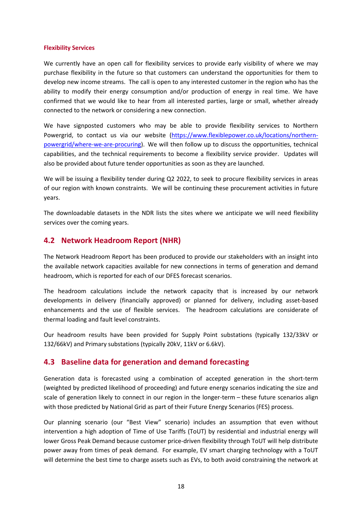#### **Flexibility Services**

We currently have an open call for flexibility services to provide early visibility of where we may purchase flexibility in the future so that customers can understand the opportunities for them to develop new income streams. The call is open to any interested customer in the region who has the ability to modify their energy consumption and/or production of energy in real time. We have confirmed that we would like to hear from all interested parties, large or small, whether already connected to the network or considering a new connection.

We have signposted customers who may be able to provide flexibility services to Northern Powergrid, to contact us via our website [\(https://www.flexiblepower.co.uk/locations/northern](https://www.flexiblepower.co.uk/locations/northern-powergrid/where-we-are-procuring)[powergrid/where-we-are-procuring\)](https://www.flexiblepower.co.uk/locations/northern-powergrid/where-we-are-procuring). We will then follow up to discuss the opportunities, technical capabilities, and the technical requirements to become a flexibility service provider. Updates will also be provided about future tender opportunities as soon as they are launched.

We will be issuing a flexibility tender during Q2 2022, to seek to procure flexibility services in areas of our region with known constraints. We will be continuing these procurement activities in future years.

The downloadable datasets in the NDR lists the sites where we anticipate we will need flexibility services over the coming years.

### **4.2 Network Headroom Report (NHR)**

The Network Headroom Report has been produced to provide our stakeholders with an insight into the available network capacities available for new connections in terms of generation and demand headroom, which is reported for each of our DFES forecast scenarios.

The headroom calculations include the network capacity that is increased by our network developments in delivery (financially approved) or planned for delivery, including asset-based enhancements and the use of flexible services. The headroom calculations are considerate of thermal loading and fault level constraints.

Our headroom results have been provided for Supply Point substations (typically 132/33kV or 132/66kV) and Primary substations (typically 20kV, 11kV or 6.6kV).

### **4.3 Baseline data for generation and demand forecasting**

Generation data is forecasted using a combination of accepted generation in the short-term (weighted by predicted likelihood of proceeding) and future energy scenarios indicating the size and scale of generation likely to connect in our region in the longer-term – these future scenarios align with those predicted by National Grid as part of their Future Energy Scenarios (FES) process.

Our planning scenario (our "Best View" scenario) includes an assumption that even without intervention a high adoption of Time of Use Tariffs (ToUT) by residential and industrial energy will lower Gross Peak Demand because customer price-driven flexibility through ToUT will help distribute power away from times of peak demand. For example, EV smart charging technology with a ToUT will determine the best time to charge assets such as EVs, to both avoid constraining the network at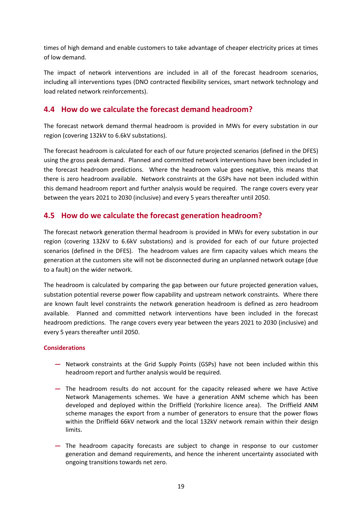times of high demand and enable customers to take advantage of cheaper electricity prices at times of low demand.

The impact of network interventions are included in all of the forecast headroom scenarios, including all interventions types (DNO contracted flexibility services, smart network technology and load related network reinforcements).

## **4.4 How do we calculate the forecast demand headroom?**

The forecast network demand thermal headroom is provided in MWs for every substation in our region (covering 132kV to 6.6kV substations).

The forecast headroom is calculated for each of our future projected scenarios (defined in the DFES) using the gross peak demand. Planned and committed network interventions have been included in the forecast headroom predictions. Where the headroom value goes negative, this means that there is zero headroom available. Network constraints at the GSPs have not been included within this demand headroom report and further analysis would be required. The range covers every year between the years 2021 to 2030 (inclusive) and every 5 years thereafter until 2050.

## **4.5 How do we calculate the forecast generation headroom?**

The forecast network generation thermal headroom is provided in MWs for every substation in our region (covering 132kV to 6.6kV substations) and is provided for each of our future projected scenarios (defined in the DFES). The headroom values are firm capacity values which means the generation at the customers site will not be disconnected during an unplanned network outage (due to a fault) on the wider network.

The headroom is calculated by comparing the gap between our future projected generation values, substation potential reverse power flow capability and upstream network constraints. Where there are known fault level constraints the network generation headroom is defined as zero headroom available. Planned and committed network interventions have been included in the forecast headroom predictions. The range covers every year between the years 2021 to 2030 (inclusive) and every 5 years thereafter until 2050.

#### **Considerations**

- **—** Network constraints at the Grid Supply Points (GSPs) have not been included within this headroom report and further analysis would be required.
- **—** The headroom results do not account for the capacity released where we have Active Network Managements schemes. We have a generation ANM scheme which has been developed and deployed within the Driffield (Yorkshire licence area). The Driffield ANM scheme manages the export from a number of generators to ensure that the power flows within the Driffield 66kV network and the local 132kV network remain within their design limits.
- **—** The headroom capacity forecasts are subject to change in response to our customer generation and demand requirements, and hence the inherent uncertainty associated with ongoing transitions towards net zero.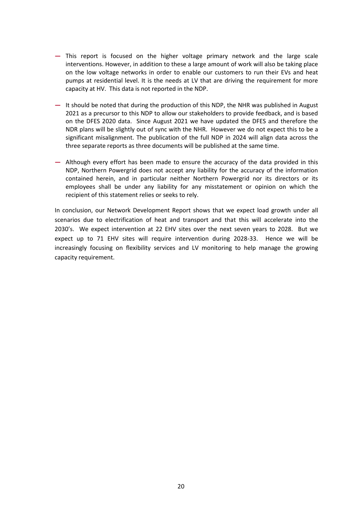- **—** This report is focused on the higher voltage primary network and the large scale interventions. However, in addition to these a large amount of work will also be taking place on the low voltage networks in order to enable our customers to run their EVs and heat pumps at residential level. It is the needs at LV that are driving the requirement for more capacity at HV. This data is not reported in the NDP.
- **—** It should be noted that during the production of this NDP, the NHR was published in August 2021 as a precursor to this NDP to allow our stakeholders to provide feedback, and is based on the DFES 2020 data. Since August 2021 we have updated the DFES and therefore the NDR plans will be slightly out of sync with the NHR. However we do not expect this to be a significant misalignment. The publication of the full NDP in 2024 will align data across the three separate reports as three documents will be published at the same time.
- **—** Although every effort has been made to ensure the accuracy of the data provided in this NDP, Northern Powergrid does not accept any liability for the accuracy of the information contained herein, and in particular neither Northern Powergrid nor its directors or its employees shall be under any liability for any misstatement or opinion on which the recipient of this statement relies or seeks to rely.

In conclusion, our Network Development Report shows that we expect load growth under all scenarios due to electrification of heat and transport and that this will accelerate into the 2030's. We expect intervention at 22 EHV sites over the next seven years to 2028. But we expect up to 71 EHV sites will require intervention during 2028-33. Hence we will be increasingly focusing on flexibility services and LV monitoring to help manage the growing capacity requirement.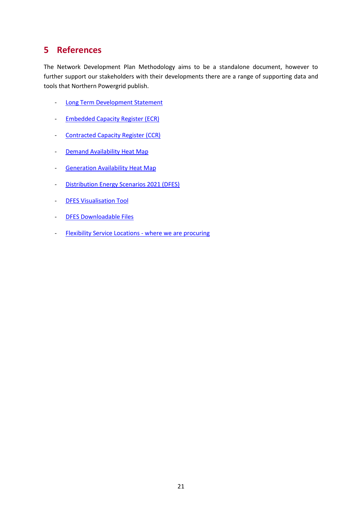## **5 References**

The Network Development Plan Methodology aims to be a standalone document, however to further support our stakeholders with their developments there are a range of supporting data and tools that Northern Powergrid publish.

- [Long Term Development Statement](https://www.northernpowergrid.com/long-term-development-statement)
- **[Embedded Capacity Register \(ECR\)](https://www.northernpowergrid.com/asset/0/document/6644.xlsx)**
- [Contracted Capacity Register \(CCR\)](https://www.northernpowergrid.com/contracted-capacity-register)
- [Demand Availability Heat Map](https://www.northernpowergrid.com/demand-availability-map)
- [Generation Availability Heat Map](https://www.northernpowergrid.com/generation-availability-map)
- [Distribution Energy Scenarios 2021 \(DFES\)](https://www.northernpowergrid.com/asset/0/document/6617.pdf)
- [DFES Visualisation Tool](https://odileeds.github.io/northern-powergrid/)
- [DFES Downloadable Files](https://datamillnorth.org/dataset/northern-powergrid-dfes)
- [Flexibility Service Locations -](https://www.flexiblepower.co.uk/locations/northern-powergrid/where-we-are-procuring) where we are procuring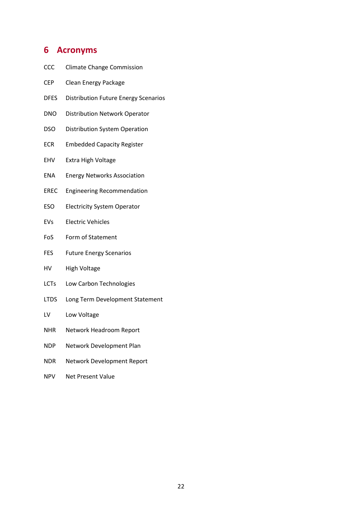## **6 Acronyms**

- CCC Climate Change Commission
- CEP Clean Energy Package
- DFES Distribution Future Energy Scenarios
- DNO Distribution Network Operator
- DSO Distribution System Operation
- ECR Embedded Capacity Register
- EHV Extra High Voltage
- ENA Energy Networks Association
- EREC Engineering Recommendation
- ESO Electricity System Operator
- EVs Electric Vehicles
- FoS Form of Statement
- FES Future Energy Scenarios
- HV High Voltage
- LCTs Low Carbon Technologies
- LTDS Long Term Development Statement
- LV Low Voltage
- NHR Network Headroom Report
- NDP Network Development Plan
- NDR Network Development Report
- NPV Net Present Value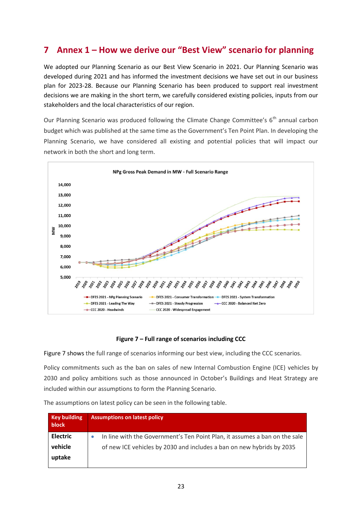## **7 Annex 1 – How we derive our "Best View" scenario for planning**

We adopted our Planning Scenario as our Best View Scenario in 2021. Our Planning Scenario was developed during 2021 and has informed the investment decisions we have set out in our business plan for 2023-28. Because our Planning Scenario has been produced to support real investment decisions we are making in the short term, we carefully considered existing policies, inputs from our stakeholders and the local characteristics of our region.

Our Planning Scenario was produced following the Climate Change Committee's  $6<sup>th</sup>$  annual carbon budget which was published at the same time as the Government's Ten Point Plan. In developing the Planning Scenario, we have considered all existing and potential policies that will impact our network in both the short and long term.



#### **Figure 7 – Full range of scenarios including CCC**

<span id="page-22-0"></span>[Figure 7](#page-22-0) shows the full range of scenarios informing our best view, including the CCC scenarios.

Policy commitments such as the ban on sales of new Internal Combustion Engine (ICE) vehicles by 2030 and policy ambitions such as those announced in October's Buildings and Heat Strategy are included within our assumptions to form the Planning Scenario.

| <b>Key building</b><br><b>block</b> | <b>Assumptions on latest policy</b>                                        |
|-------------------------------------|----------------------------------------------------------------------------|
| <b>Electric</b>                     | In line with the Government's Ten Point Plan, it assumes a ban on the sale |
| vehicle                             | of new ICE vehicles by 2030 and includes a ban on new hybrids by 2035      |
| uptake                              |                                                                            |

The assumptions on latest policy can be seen in the following table.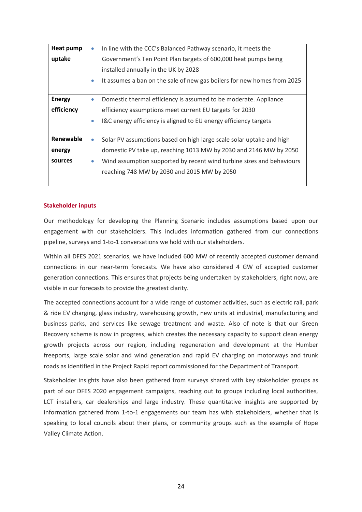| <b>Heat pump</b> | $\bullet$ | In line with the CCC's Balanced Pathway scenario, it meets the          |
|------------------|-----------|-------------------------------------------------------------------------|
| uptake           |           | Government's Ten Point Plan targets of 600,000 heat pumps being         |
|                  |           | installed annually in the UK by 2028                                    |
|                  | ۰         | It assumes a ban on the sale of new gas boilers for new homes from 2025 |
|                  |           |                                                                         |
| <b>Energy</b>    | $\bullet$ | Domestic thermal efficiency is assumed to be moderate. Appliance        |
| efficiency       |           | efficiency assumptions meet current EU targets for 2030                 |
|                  | $\bullet$ | I&C energy efficiency is aligned to EU energy efficiency targets        |
|                  |           |                                                                         |
| Renewable        | $\bullet$ | Solar PV assumptions based on high large scale solar uptake and high    |
| energy           |           | domestic PV take up, reaching 1013 MW by 2030 and 2146 MW by 2050       |
| sources          | ۰         | Wind assumption supported by recent wind turbine sizes and behaviours   |
|                  |           | reaching 748 MW by 2030 and 2015 MW by 2050                             |
|                  |           |                                                                         |

#### **Stakeholder inputs**

Our methodology for developing the Planning Scenario includes assumptions based upon our engagement with our stakeholders. This includes information gathered from our connections pipeline, surveys and 1-to-1 conversations we hold with our stakeholders.

Within all DFES 2021 scenarios, we have included 600 MW of recently accepted customer demand connections in our near-term forecasts. We have also considered 4 GW of accepted customer generation connections. This ensures that projects being undertaken by stakeholders, right now, are visible in our forecasts to provide the greatest clarity.

The accepted connections account for a wide range of customer activities, such as electric rail, park & ride EV charging, glass industry, warehousing growth, new units at industrial, manufacturing and business parks, and services like sewage treatment and waste. Also of note is that our Green Recovery scheme is now in progress, which creates the necessary capacity to support clean energy growth projects across our region, including regeneration and development at the Humber freeports, large scale solar and wind generation and rapid EV charging on motorways and trunk roads as identified in the Project Rapid report commissioned for the Department of Transport.

Stakeholder insights have also been gathered from surveys shared with key stakeholder groups as part of our DFES 2020 engagement campaigns, reaching out to groups including local authorities, LCT installers, car dealerships and large industry. These quantitative insights are supported by information gathered from 1-to-1 engagements our team has with stakeholders, whether that is speaking to local councils about their plans, or community groups such as the example of Hope Valley Climate Action.